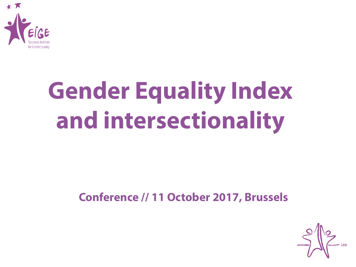

# **Gender Equality Index and intersectionality**

#### **Conference // 11 October 2017, Brussels**

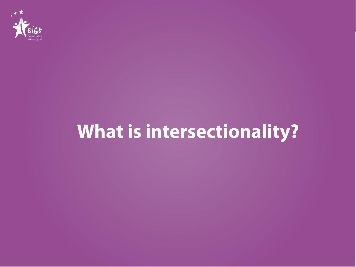

# **What is intersectionality?**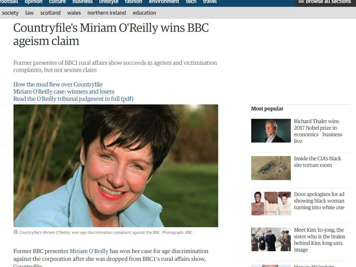scotland wales northern ireland education society law

#### = prowse all sections

#### Countryfile's Miriam O'Reilly wins BBC ageism claim

Former presenter of BBC1 rural affairs show succeeds in ageism and victimisation complaints, but not sexism claim

How the mud flew over Countryfile Miriam O'Reilly case: winners and losers Read the O'Reilly tribunal judgment in full (pdf)



Countryfile's Miriam O'Reilly: won age discrimination complaint against the BBC. Photograph: BBC

Former BBC presenter Miriam O'Reilly has won her case for age discrimination against the corporation after she was dropped from BBC1's rural affairs show,  $Constrbola$ 

#### **Most popular**



**Richard Thaler wins** 2017 Nobel prize in economics - business live



Inside the CIA's black site torture room



Dove apologises for ad showing black woman turning into white one



Meet Kim Yo-jong, the sister who is the brains behind Kim Jong-un's image



 $II$ <sub>am</sub>  $II$ <sub>a</sub> $II$ <sub>a</sub> $I$ <sub>a</sub> $I$ <sub>a</sub> $I$ <sub>a</sub> $I$ <sub>a</sub> $I$ <sub>a</sub> $I$ <sub>a</sub> $I$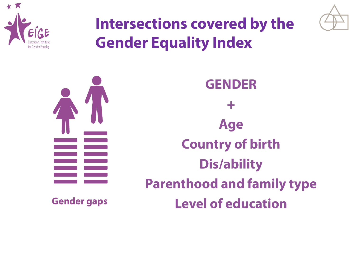



### **Intersections covered by the Gender Equality Index**



**GENDER + Age Country of birth Dis/ability Parenthood and family type Gender gaps Level of education**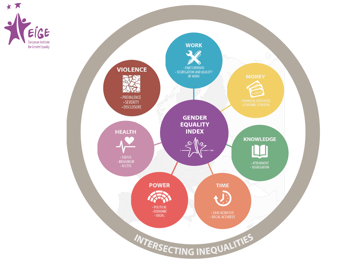

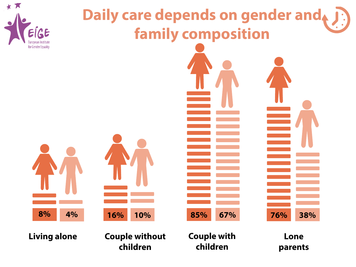

# **Daily care depends on gender and family composition**



Living alone **Couple without Couple Couple with Couple Action**Lone **children**

**Couple with children**

**parents**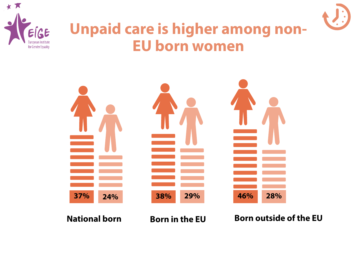



#### **Unpaid care is higher among non-EU born women**

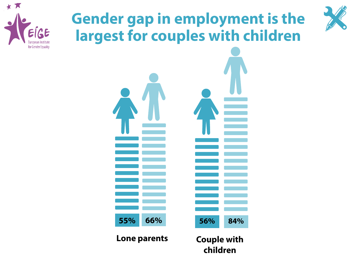

# **Gender gap in employment is the largest for couples with children**



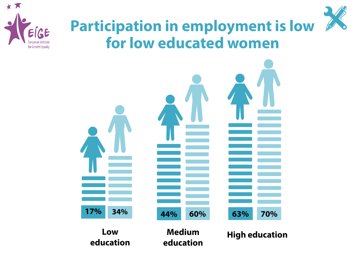

#### **Participation in employment is low for low educated women**

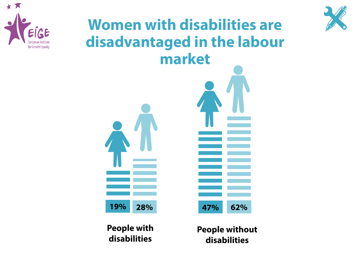

#### **Women with disabilities are disadvantaged in the labour market**



**People with disabilities**

**People without disabilities**

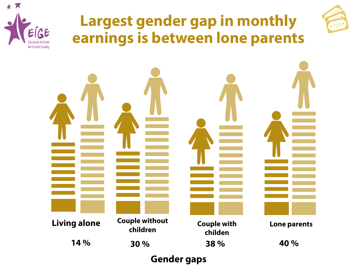

#### **Largest gender gap in monthly earnings is between lone parents**





**Gender gaps**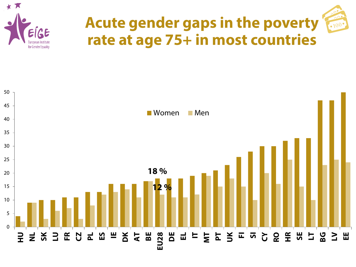

### **Acute gender gaps in the poverty rate at age 75+ in most countries**

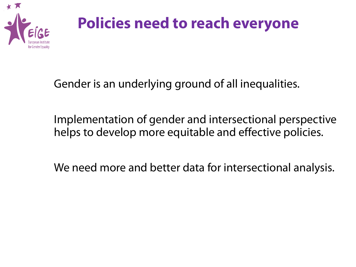

### **Policies need to reach everyone**

Gender is an underlying ground of all inequalities.

Implementation of gender and intersectional perspective helps to develop more equitable and effective policies.

We need more and better data for intersectional analysis.